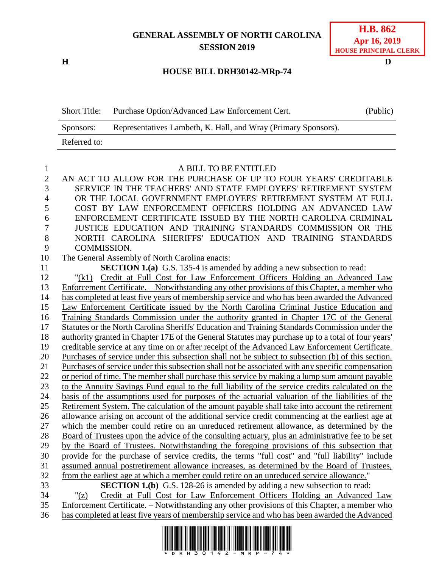## **GENERAL ASSEMBLY OF NORTH CAROLINA SESSION 2019**

## **H D HOUSE BILL DRH30142-MRp-74**

| <b>Short Title:</b> | Purchase Option/Advanced Law Enforcement Cert.                 | (Public) |
|---------------------|----------------------------------------------------------------|----------|
| Sponsors:           | Representatives Lambeth, K. Hall, and Wray (Primary Sponsors). |          |
| Referred to:        |                                                                |          |

1 A BILL TO BE ENTITLED<br>2 AN ACT TO ALLOW FOR THE PURCHASE OF UP TO AN ACT TO ALLOW FOR THE PURCHASE OF UP TO FOUR YEARS' CREDITABLE SERVICE IN THE TEACHERS' AND STATE EMPLOYEES' RETIREMENT SYSTEM OR THE LOCAL GOVERNMENT EMPLOYEES' RETIREMENT SYSTEM AT FULL COST BY LAW ENFORCEMENT OFFICERS HOLDING AN ADVANCED LAW ENFORCEMENT CERTIFICATE ISSUED BY THE NORTH CAROLINA CRIMINAL JUSTICE EDUCATION AND TRAINING STANDARDS COMMISSION OR THE NORTH CAROLINA SHERIFFS' EDUCATION AND TRAINING STANDARDS COMMISSION.

The General Assembly of North Carolina enacts:

**SECTION 1.(a)** G.S. 135-4 is amended by adding a new subsection to read:

 "(k1) Credit at Full Cost for Law Enforcement Officers Holding an Advanced Law Enforcement Certificate. – Notwithstanding any other provisions of this Chapter, a member who has completed at least five years of membership service and who has been awarded the Advanced Law Enforcement Certificate issued by the North Carolina Criminal Justice Education and Training Standards Commission under the authority granted in Chapter 17C of the General Statutes or the North Carolina Sheriffs' Education and Training Standards Commission under the authority granted in Chapter 17E of the General Statutes may purchase up to a total of four years' creditable service at any time on or after receipt of the Advanced Law Enforcement Certificate. Purchases of service under this subsection shall not be subject to subsection (b) of this section. Purchases of service under this subsection shall not be associated with any specific compensation or period of time. The member shall purchase this service by making a lump sum amount payable 23 to the Annuity Savings Fund equal to the full liability of the service credits calculated on the basis of the assumptions used for purposes of the actuarial valuation of the liabilities of the Retirement System. The calculation of the amount payable shall take into account the retirement allowance arising on account of the additional service credit commencing at the earliest age at which the member could retire on an unreduced retirement allowance, as determined by the Board of Trustees upon the advice of the consulting actuary, plus an administrative fee to be set by the Board of Trustees. Notwithstanding the foregoing provisions of this subsection that provide for the purchase of service credits, the terms "full cost" and "full liability" include assumed annual postretirement allowance increases, as determined by the Board of Trustees, from the earliest age at which a member could retire on an unreduced service allowance." **SECTION 1.(b)** G.S. 128-26 is amended by adding a new subsection to read: "(z) Credit at Full Cost for Law Enforcement Officers Holding an Advanced Law

 Enforcement Certificate. – Notwithstanding any other provisions of this Chapter, a member who has completed at least five years of membership service and who has been awarded the Advanced